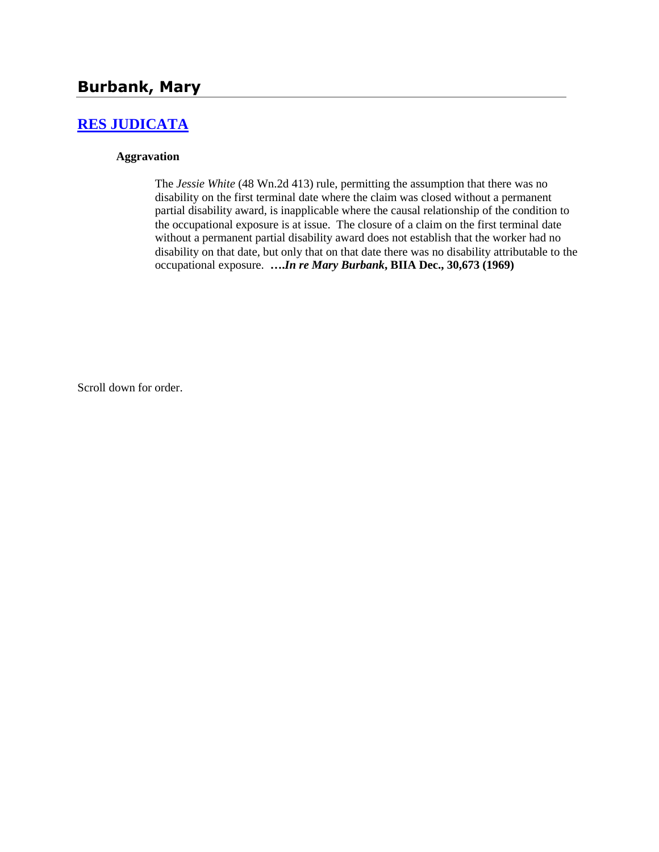# **[RES JUDICATA](http://www.biia.wa.gov/SDSubjectIndex.html#RES_JUDICATA)**

#### **Aggravation**

The *Jessie White* (48 Wn.2d 413) rule, permitting the assumption that there was no disability on the first terminal date where the claim was closed without a permanent partial disability award, is inapplicable where the causal relationship of the condition to the occupational exposure is at issue. The closure of a claim on the first terminal date without a permanent partial disability award does not establish that the worker had no disability on that date, but only that on that date there was no disability attributable to the occupational exposure. **….***In re Mary Burbank***, BIIA Dec., 30,673 (1969)** 

Scroll down for order.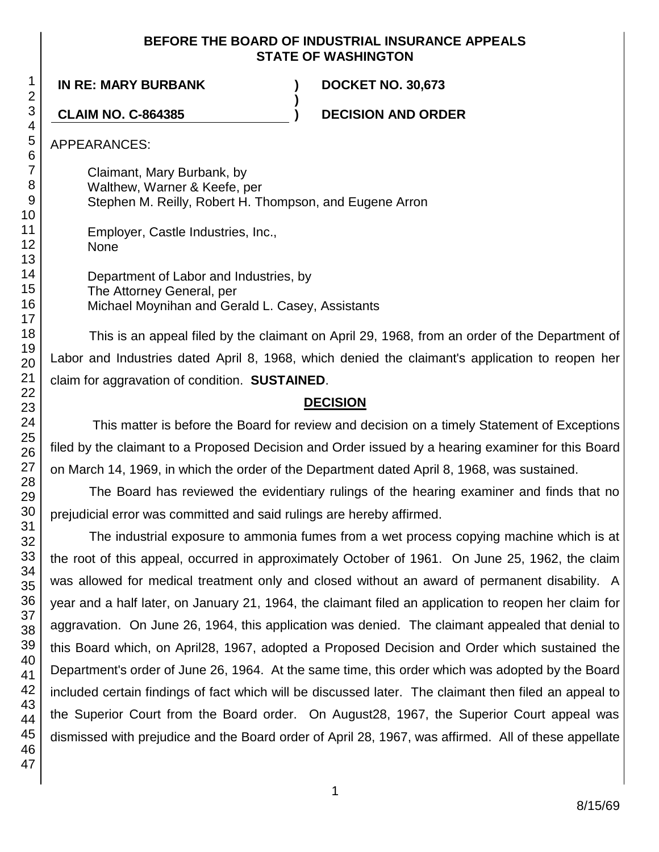#### **BEFORE THE BOARD OF INDUSTRIAL INSURANCE APPEALS STATE OF WASHINGTON**

**)**

**IN RE: MARY BURBANK ) DOCKET NO. 30,673**

**CLAIM NO. C-864385 ) DECISION AND ORDER**

APPEARANCES:

Claimant, Mary Burbank, by Walthew, Warner & Keefe, per Stephen M. Reilly, Robert H. Thompson, and Eugene Arron

Employer, Castle Industries, Inc., None

Department of Labor and Industries, by The Attorney General, per Michael Moynihan and Gerald L. Casey, Assistants

This is an appeal filed by the claimant on April 29, 1968, from an order of the Department of Labor and Industries dated April 8, 1968, which denied the claimant's application to reopen her claim for aggravation of condition. **SUSTAINED**.

## **DECISION**

This matter is before the Board for review and decision on a timely Statement of Exceptions filed by the claimant to a Proposed Decision and Order issued by a hearing examiner for this Board on March 14, 1969, in which the order of the Department dated April 8, 1968, was sustained.

The Board has reviewed the evidentiary rulings of the hearing examiner and finds that no prejudicial error was committed and said rulings are hereby affirmed.

The industrial exposure to ammonia fumes from a wet process copying machine which is at the root of this appeal, occurred in approximately October of 1961. On June 25, 1962, the claim was allowed for medical treatment only and closed without an award of permanent disability. A year and a half later, on January 21, 1964, the claimant filed an application to reopen her claim for aggravation. On June 26, 1964, this application was denied. The claimant appealed that denial to this Board which, on April28, 1967, adopted a Proposed Decision and Order which sustained the Department's order of June 26, 1964. At the same time, this order which was adopted by the Board included certain findings of fact which will be discussed later. The claimant then filed an appeal to the Superior Court from the Board order. On August28, 1967, the Superior Court appeal was dismissed with prejudice and the Board order of April 28, 1967, was affirmed. All of these appellate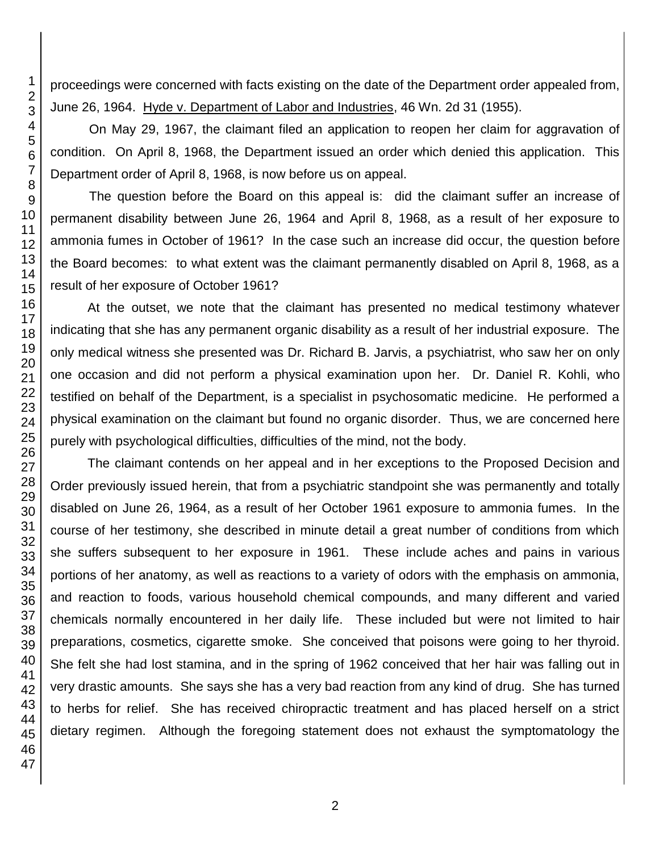proceedings were concerned with facts existing on the date of the Department order appealed from, June 26, 1964. Hyde v. Department of Labor and Industries, 46 Wn. 2d 31 (1955).

On May 29, 1967, the claimant filed an application to reopen her claim for aggravation of condition. On April 8, 1968, the Department issued an order which denied this application. This Department order of April 8, 1968, is now before us on appeal.

The question before the Board on this appeal is: did the claimant suffer an increase of permanent disability between June 26, 1964 and April 8, 1968, as a result of her exposure to ammonia fumes in October of 1961? In the case such an increase did occur, the question before the Board becomes: to what extent was the claimant permanently disabled on April 8, 1968, as a result of her exposure of October 1961?

At the outset, we note that the claimant has presented no medical testimony whatever indicating that she has any permanent organic disability as a result of her industrial exposure. The only medical witness she presented was Dr. Richard B. Jarvis, a psychiatrist, who saw her on only one occasion and did not perform a physical examination upon her. Dr. Daniel R. Kohli, who testified on behalf of the Department, is a specialist in psychosomatic medicine. He performed a physical examination on the claimant but found no organic disorder. Thus, we are concerned here purely with psychological difficulties, difficulties of the mind, not the body.

The claimant contends on her appeal and in her exceptions to the Proposed Decision and Order previously issued herein, that from a psychiatric standpoint she was permanently and totally disabled on June 26, 1964, as a result of her October 1961 exposure to ammonia fumes. In the course of her testimony, she described in minute detail a great number of conditions from which she suffers subsequent to her exposure in 1961. These include aches and pains in various portions of her anatomy, as well as reactions to a variety of odors with the emphasis on ammonia, and reaction to foods, various household chemical compounds, and many different and varied chemicals normally encountered in her daily life. These included but were not limited to hair preparations, cosmetics, cigarette smoke. She conceived that poisons were going to her thyroid. She felt she had lost stamina, and in the spring of 1962 conceived that her hair was falling out in very drastic amounts. She says she has a very bad reaction from any kind of drug. She has turned to herbs for relief. She has received chiropractic treatment and has placed herself on a strict dietary regimen. Although the foregoing statement does not exhaust the symptomatology the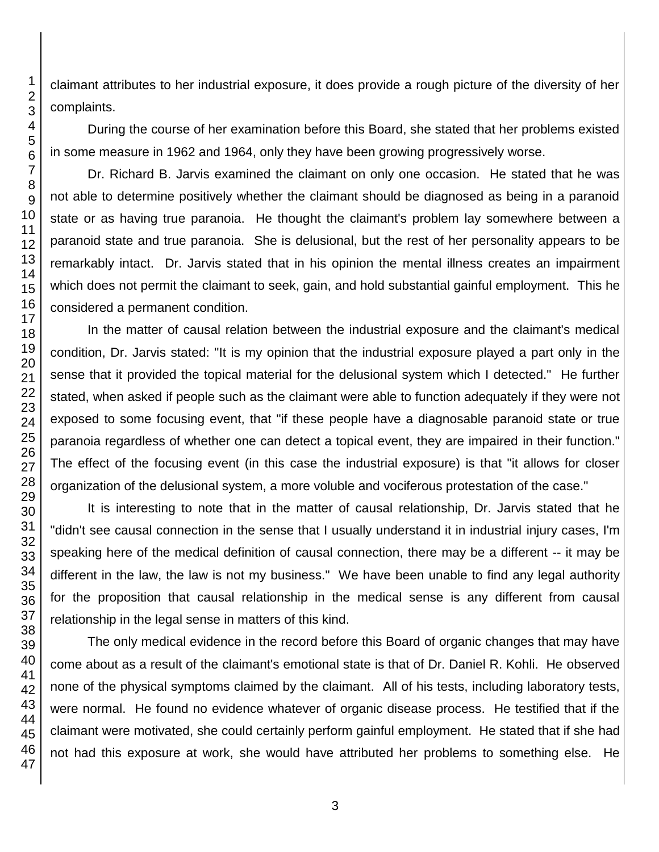claimant attributes to her industrial exposure, it does provide a rough picture of the diversity of her complaints.

During the course of her examination before this Board, she stated that her problems existed in some measure in 1962 and 1964, only they have been growing progressively worse.

Dr. Richard B. Jarvis examined the claimant on only one occasion. He stated that he was not able to determine positively whether the claimant should be diagnosed as being in a paranoid state or as having true paranoia. He thought the claimant's problem lay somewhere between a paranoid state and true paranoia. She is delusional, but the rest of her personality appears to be remarkably intact. Dr. Jarvis stated that in his opinion the mental illness creates an impairment which does not permit the claimant to seek, gain, and hold substantial gainful employment. This he considered a permanent condition.

In the matter of causal relation between the industrial exposure and the claimant's medical condition, Dr. Jarvis stated: "It is my opinion that the industrial exposure played a part only in the sense that it provided the topical material for the delusional system which I detected." He further stated, when asked if people such as the claimant were able to function adequately if they were not exposed to some focusing event, that "if these people have a diagnosable paranoid state or true paranoia regardless of whether one can detect a topical event, they are impaired in their function." The effect of the focusing event (in this case the industrial exposure) is that "it allows for closer organization of the delusional system, a more voluble and vociferous protestation of the case."

It is interesting to note that in the matter of causal relationship, Dr. Jarvis stated that he "didn't see causal connection in the sense that I usually understand it in industrial injury cases, I'm speaking here of the medical definition of causal connection, there may be a different -- it may be different in the law, the law is not my business." We have been unable to find any legal authority for the proposition that causal relationship in the medical sense is any different from causal relationship in the legal sense in matters of this kind.

The only medical evidence in the record before this Board of organic changes that may have come about as a result of the claimant's emotional state is that of Dr. Daniel R. Kohli. He observed none of the physical symptoms claimed by the claimant. All of his tests, including laboratory tests, were normal. He found no evidence whatever of organic disease process. He testified that if the claimant were motivated, she could certainly perform gainful employment. He stated that if she had not had this exposure at work, she would have attributed her problems to something else. He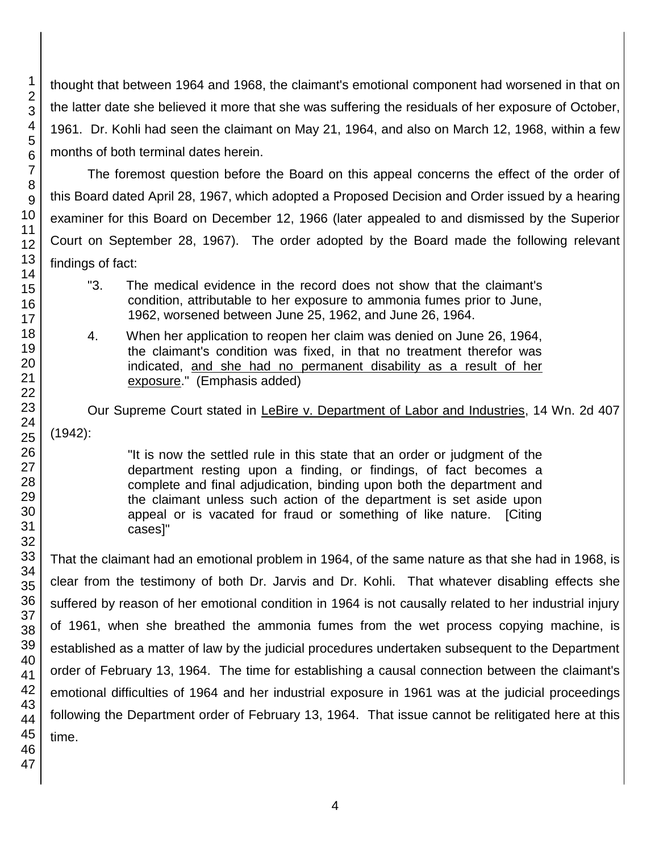thought that between 1964 and 1968, the claimant's emotional component had worsened in that on the latter date she believed it more that she was suffering the residuals of her exposure of October, 1961. Dr. Kohli had seen the claimant on May 21, 1964, and also on March 12, 1968, within a few months of both terminal dates herein.

The foremost question before the Board on this appeal concerns the effect of the order of this Board dated April 28, 1967, which adopted a Proposed Decision and Order issued by a hearing examiner for this Board on December 12, 1966 (later appealed to and dismissed by the Superior Court on September 28, 1967). The order adopted by the Board made the following relevant findings of fact:

- "3. The medical evidence in the record does not show that the claimant's condition, attributable to her exposure to ammonia fumes prior to June, 1962, worsened between June 25, 1962, and June 26, 1964.
- 4. When her application to reopen her claim was denied on June 26, 1964, the claimant's condition was fixed, in that no treatment therefor was indicated, and she had no permanent disability as a result of her exposure." (Emphasis added)

Our Supreme Court stated in LeBire v. Department of Labor and Industries, 14 Wn. 2d 407 (1942):

> "It is now the settled rule in this state that an order or judgment of the department resting upon a finding, or findings, of fact becomes a complete and final adjudication, binding upon both the department and the claimant unless such action of the department is set aside upon appeal or is vacated for fraud or something of like nature. [Citing cases]"

That the claimant had an emotional problem in 1964, of the same nature as that she had in 1968, is clear from the testimony of both Dr. Jarvis and Dr. Kohli. That whatever disabling effects she suffered by reason of her emotional condition in 1964 is not causally related to her industrial injury of 1961, when she breathed the ammonia fumes from the wet process copying machine, is established as a matter of law by the judicial procedures undertaken subsequent to the Department order of February 13, 1964. The time for establishing a causal connection between the claimant's emotional difficulties of 1964 and her industrial exposure in 1961 was at the judicial proceedings following the Department order of February 13, 1964. That issue cannot be relitigated here at this time.

1 2 3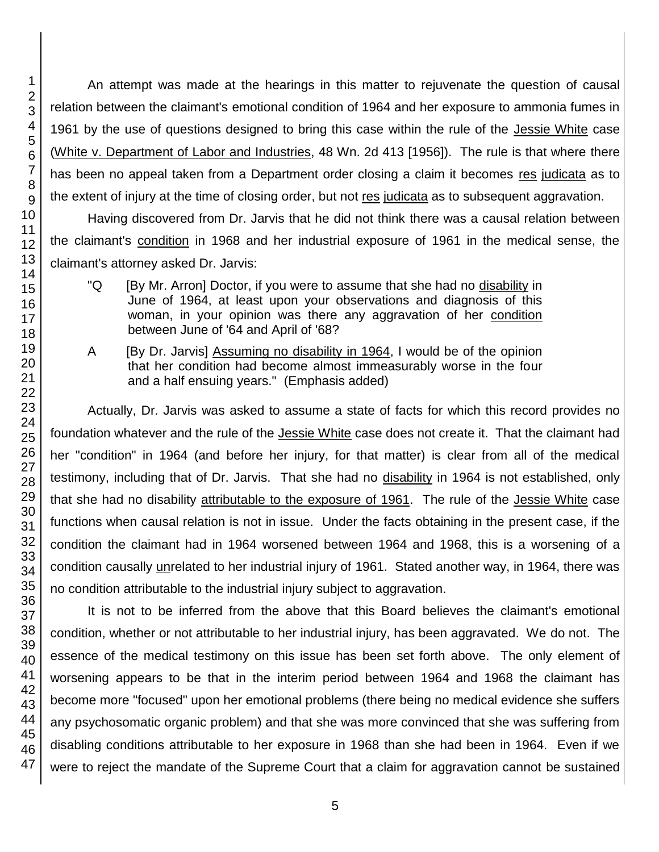An attempt was made at the hearings in this matter to rejuvenate the question of causal relation between the claimant's emotional condition of 1964 and her exposure to ammonia fumes in 1961 by the use of questions designed to bring this case within the rule of the Jessie White case (White v. Department of Labor and Industries, 48 Wn. 2d 413 [1956]). The rule is that where there has been no appeal taken from a Department order closing a claim it becomes res judicata as to the extent of injury at the time of closing order, but not res judicata as to subsequent aggravation.

Having discovered from Dr. Jarvis that he did not think there was a causal relation between the claimant's condition in 1968 and her industrial exposure of 1961 in the medical sense, the claimant's attorney asked Dr. Jarvis:

- "Q [By Mr. Arron] Doctor, if you were to assume that she had no disability in June of 1964, at least upon your observations and diagnosis of this woman, in your opinion was there any aggravation of her condition between June of '64 and April of '68?
- A [By Dr. Jarvis] Assuming no disability in 1964, I would be of the opinion that her condition had become almost immeasurably worse in the four and a half ensuing years." (Emphasis added)

Actually, Dr. Jarvis was asked to assume a state of facts for which this record provides no foundation whatever and the rule of the Jessie White case does not create it. That the claimant had her "condition" in 1964 (and before her injury, for that matter) is clear from all of the medical testimony, including that of Dr. Jarvis. That she had no disability in 1964 is not established, only that she had no disability attributable to the exposure of 1961. The rule of the Jessie White case functions when causal relation is not in issue. Under the facts obtaining in the present case, if the condition the claimant had in 1964 worsened between 1964 and 1968, this is a worsening of a condition causally unrelated to her industrial injury of 1961. Stated another way, in 1964, there was no condition attributable to the industrial injury subject to aggravation.

It is not to be inferred from the above that this Board believes the claimant's emotional condition, whether or not attributable to her industrial injury, has been aggravated. We do not. The essence of the medical testimony on this issue has been set forth above. The only element of worsening appears to be that in the interim period between 1964 and 1968 the claimant has become more "focused" upon her emotional problems (there being no medical evidence she suffers any psychosomatic organic problem) and that she was more convinced that she was suffering from disabling conditions attributable to her exposure in 1968 than she had been in 1964. Even if we were to reject the mandate of the Supreme Court that a claim for aggravation cannot be sustained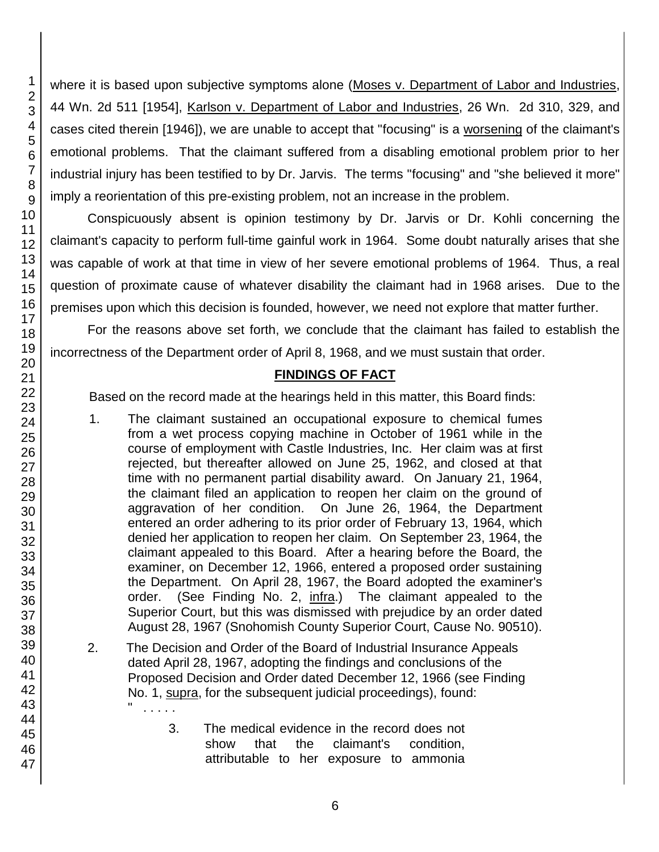where it is based upon subjective symptoms alone (Moses v. Department of Labor and Industries, 44 Wn. 2d 511 [1954], Karlson v. Department of Labor and Industries, 26 Wn. 2d 310, 329, and cases cited therein [1946]), we are unable to accept that "focusing" is a worsening of the claimant's emotional problems. That the claimant suffered from a disabling emotional problem prior to her industrial injury has been testified to by Dr. Jarvis. The terms "focusing" and "she believed it more" imply a reorientation of this pre-existing problem, not an increase in the problem.

Conspicuously absent is opinion testimony by Dr. Jarvis or Dr. Kohli concerning the claimant's capacity to perform full-time gainful work in 1964. Some doubt naturally arises that she was capable of work at that time in view of her severe emotional problems of 1964. Thus, a real question of proximate cause of whatever disability the claimant had in 1968 arises. Due to the premises upon which this decision is founded, however, we need not explore that matter further.

For the reasons above set forth, we conclude that the claimant has failed to establish the incorrectness of the Department order of April 8, 1968, and we must sustain that order.

## **FINDINGS OF FACT**

Based on the record made at the hearings held in this matter, this Board finds:

- 1. The claimant sustained an occupational exposure to chemical fumes from a wet process copying machine in October of 1961 while in the course of employment with Castle Industries, Inc. Her claim was at first rejected, but thereafter allowed on June 25, 1962, and closed at that time with no permanent partial disability award. On January 21, 1964, the claimant filed an application to reopen her claim on the ground of aggravation of her condition. On June 26, 1964, the Department entered an order adhering to its prior order of February 13, 1964, which denied her application to reopen her claim. On September 23, 1964, the claimant appealed to this Board. After a hearing before the Board, the examiner, on December 12, 1966, entered a proposed order sustaining the Department. On April 28, 1967, the Board adopted the examiner's order. (See Finding No. 2, infra.) The claimant appealed to the Superior Court, but this was dismissed with prejudice by an order dated August 28, 1967 (Snohomish County Superior Court, Cause No. 90510).
- 2. The Decision and Order of the Board of Industrial Insurance Appeals dated April 28, 1967, adopting the findings and conclusions of the Proposed Decision and Order dated December 12, 1966 (see Finding No. 1, supra, for the subsequent judicial proceedings), found: " . . . . .
	- 3. The medical evidence in the record does not show that the claimant's condition, attributable to her exposure to ammonia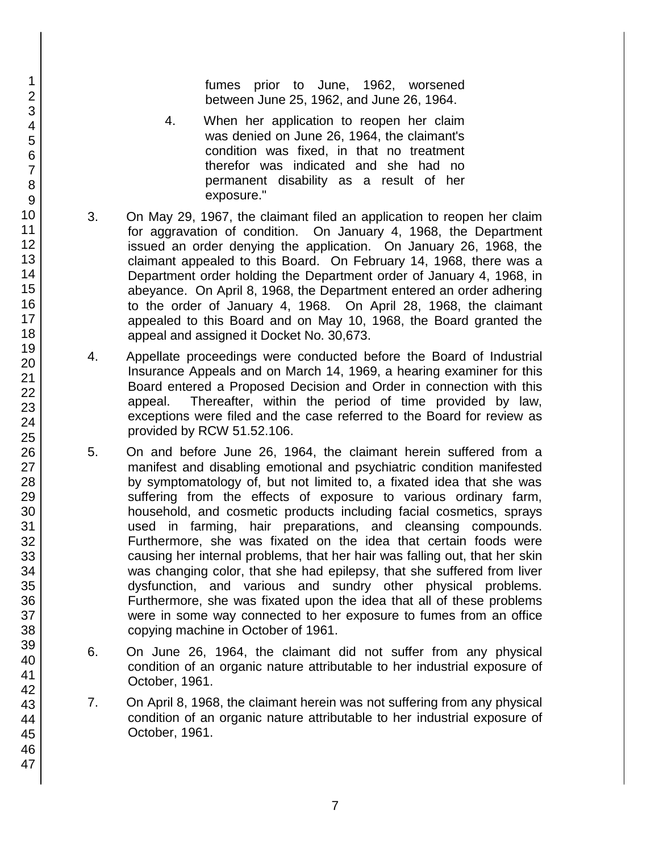fumes prior to June, 1962, worsened between June 25, 1962, and June 26, 1964.

- 4. When her application to reopen her claim was denied on June 26, 1964, the claimant's condition was fixed, in that no treatment therefor was indicated and she had no permanent disability as a result of her exposure."
- 3. On May 29, 1967, the claimant filed an application to reopen her claim for aggravation of condition. On January 4, 1968, the Department issued an order denying the application. On January 26, 1968, the claimant appealed to this Board. On February 14, 1968, there was a Department order holding the Department order of January 4, 1968, in abeyance. On April 8, 1968, the Department entered an order adhering to the order of January 4, 1968. On April 28, 1968, the claimant appealed to this Board and on May 10, 1968, the Board granted the appeal and assigned it Docket No. 30,673.
- 4. Appellate proceedings were conducted before the Board of Industrial Insurance Appeals and on March 14, 1969, a hearing examiner for this Board entered a Proposed Decision and Order in connection with this appeal. Thereafter, within the period of time provided by law, exceptions were filed and the case referred to the Board for review as provided by RCW 51.52.106.
- 5. On and before June 26, 1964, the claimant herein suffered from a manifest and disabling emotional and psychiatric condition manifested by symptomatology of, but not limited to, a fixated idea that she was suffering from the effects of exposure to various ordinary farm, household, and cosmetic products including facial cosmetics, sprays used in farming, hair preparations, and cleansing compounds. Furthermore, she was fixated on the idea that certain foods were causing her internal problems, that her hair was falling out, that her skin was changing color, that she had epilepsy, that she suffered from liver dysfunction, and various and sundry other physical problems. Furthermore, she was fixated upon the idea that all of these problems were in some way connected to her exposure to fumes from an office copying machine in October of 1961.
- 6. On June 26, 1964, the claimant did not suffer from any physical condition of an organic nature attributable to her industrial exposure of October, 1961.
- 7. On April 8, 1968, the claimant herein was not suffering from any physical condition of an organic nature attributable to her industrial exposure of October, 1961.